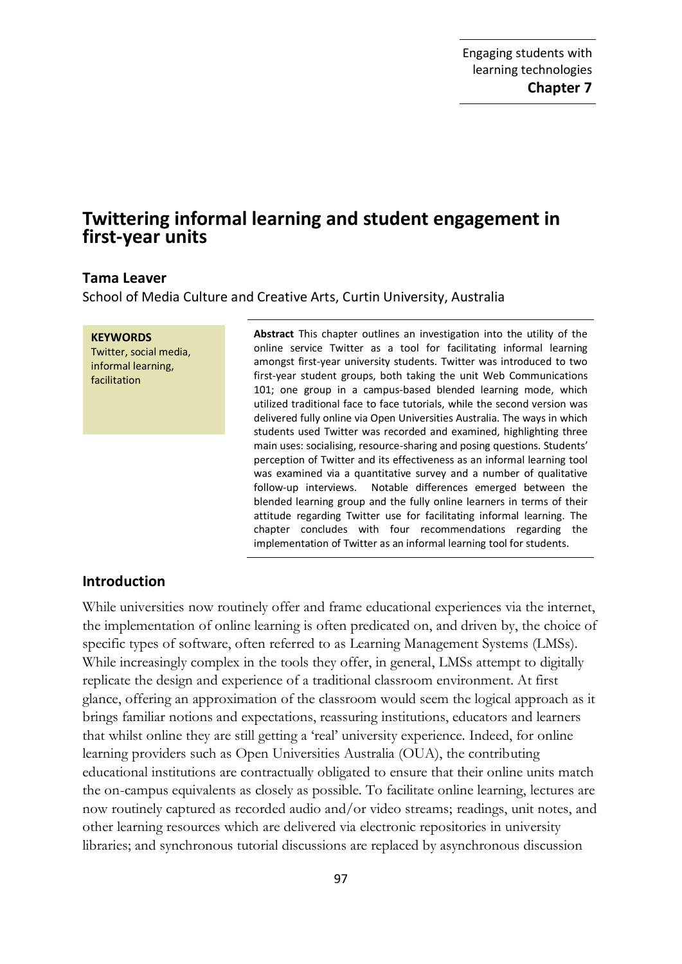# **Twittering informal learning and student engagement in first-year units**

## **Tama Leaver**

School of Media Culture and Creative Arts, Curtin University, Australia

**KEYWORDS** Twitter, social media, informal learning, facilitation

**Abstract** This chapter outlines an investigation into the utility of the online service Twitter as a tool for facilitating informal learning amongst first-year university students. Twitter was introduced to two first-year student groups, both taking the unit Web Communications 101; one group in a campus-based blended learning mode, which utilized traditional face to face tutorials, while the second version was delivered fully online via Open Universities Australia. The ways in which students used Twitter was recorded and examined, highlighting three main uses: socialising, resource-sharing and posing questions. Students' perception of Twitter and its effectiveness as an informal learning tool was examined via a quantitative survey and a number of qualitative follow-up interviews. Notable differences emerged between the blended learning group and the fully online learners in terms of their attitude regarding Twitter use for facilitating informal learning. The chapter concludes with four recommendations regarding the implementation of Twitter as an informal learning tool for students.

#### **Introduction**

While universities now routinely offer and frame educational experiences via the internet, the implementation of online learning is often predicated on, and driven by, the choice of specific types of software, often referred to as Learning Management Systems (LMSs). While increasingly complex in the tools they offer, in general, LMSs attempt to digitally replicate the design and experience of a traditional classroom environment. At first glance, offering an approximation of the classroom would seem the logical approach as it brings familiar notions and expectations, reassuring institutions, educators and learners that whilst online they are still getting a 'real' university experience. Indeed, for online learning providers such as Open Universities Australia (OUA), the contributing educational institutions are contractually obligated to ensure that their online units match the on-campus equivalents as closely as possible. To facilitate online learning, lectures are now routinely captured as recorded audio and/or video streams; readings, unit notes, and other learning resources which are delivered via electronic repositories in university libraries; and synchronous tutorial discussions are replaced by asynchronous discussion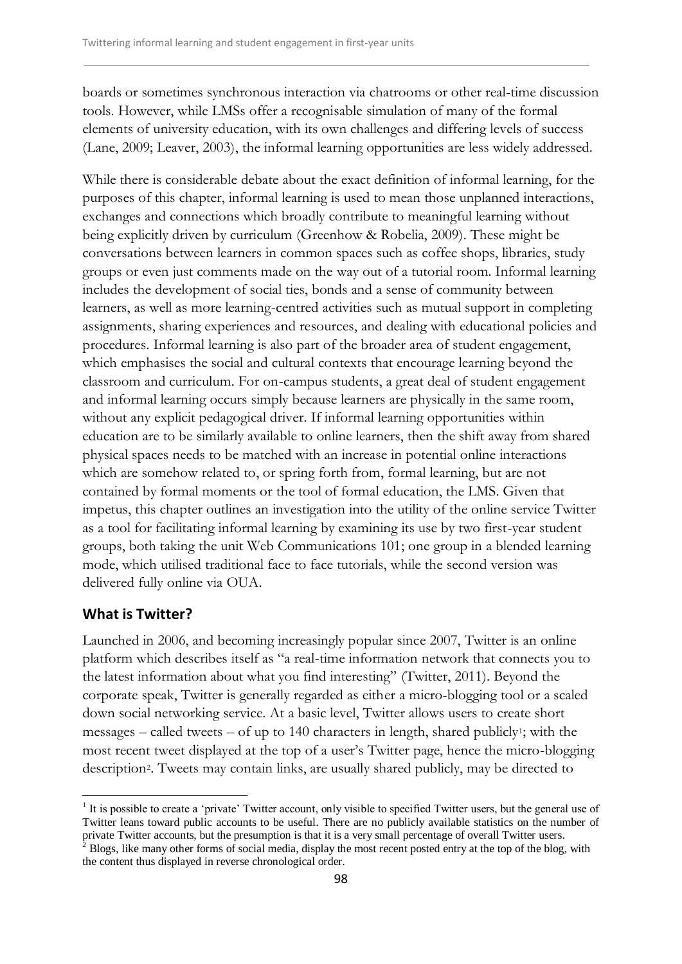boards or sometimes synchronous interaction via chatrooms or other real-time discussion tools. However, while LMSs offer a recognisable simulation of many of the formal elements of university education, with its own challenges and differing levels of success (Lane, 2009; Leaver, 2003), the informal learning opportunities are less widely addressed.

While there is considerable debate about the exact definition of informal learning, for the purposes of this chapter, informal learning is used to mean those unplanned interactions, exchanges and connections which broadly contribute to meaningful learning without being explicitly driven by curriculum (Greenhow & Robelia, 2009). These might be conversations between learners in common spaces such as coffee shops, libraries, study groups or even just comments made on the way out of a tutorial room. Informal learning includes the development of social ties, bonds and a sense of community between learners, as well as more learning-centred activities such as mutual support in completing assignments, sharing experiences and resources, and dealing with educational policies and procedures. Informal learning is also part of the broader area of student engagement, which emphasises the social and cultural contexts that encourage learning beyond the classroom and curriculum. For on-campus students, a great deal of student engagement and informal learning occurs simply because learners are physically in the same room, without any explicit pedagogical driver. If informal learning opportunities within education are to be similarly available to online learners, then the shift away from shared physical spaces needs to be matched with an increase in potential online interactions which are somehow related to, or spring forth from, formal learning, but are not contained by formal moments or the tool of formal education, the LMS. Given that impetus, this chapter outlines an investigation into the utility of the online service Twitter as a tool for facilitating informal learning by examining its use by two first-year student groups, both taking the unit Web Communications 101; one group in a blended learning mode, which utilised traditional face to face tutorials, while the second version was delivered fully online via OUA.

#### **What is Twitter?**

-

Launched in 2006, and becoming increasingly popular since 2007, Twitter is an online platform which describes itself as "a real-time information network that connects you to the latest information about what you find interesting" (Twitter, 2011). Beyond the corporate speak, Twitter is generally regarded as either a micro-blogging tool or a scaled down social networking service. At a basic level, Twitter allows users to create short messages – called tweets – of up to  $140$  characters in length, shared publicly<sup>1</sup>; with the most recent tweet displayed at the top of a user's Twitter page, hence the micro-blogging description2. Tweets may contain links, are usually shared publicly, may be directed to

<sup>&</sup>lt;sup>1</sup> It is possible to create a 'private' Twitter account, only visible to specified Twitter users, but the general use of Twitter leans toward public accounts to be useful. There are no publicly available statistics on the number of private Twitter accounts, but the presumption is that it is a very small percentage of overall Twitter users. <sup>2</sup> Blogs, like many other forms of social media, display the most recent posted entry at the top of the blog, with the content thus displayed in reverse chronological order.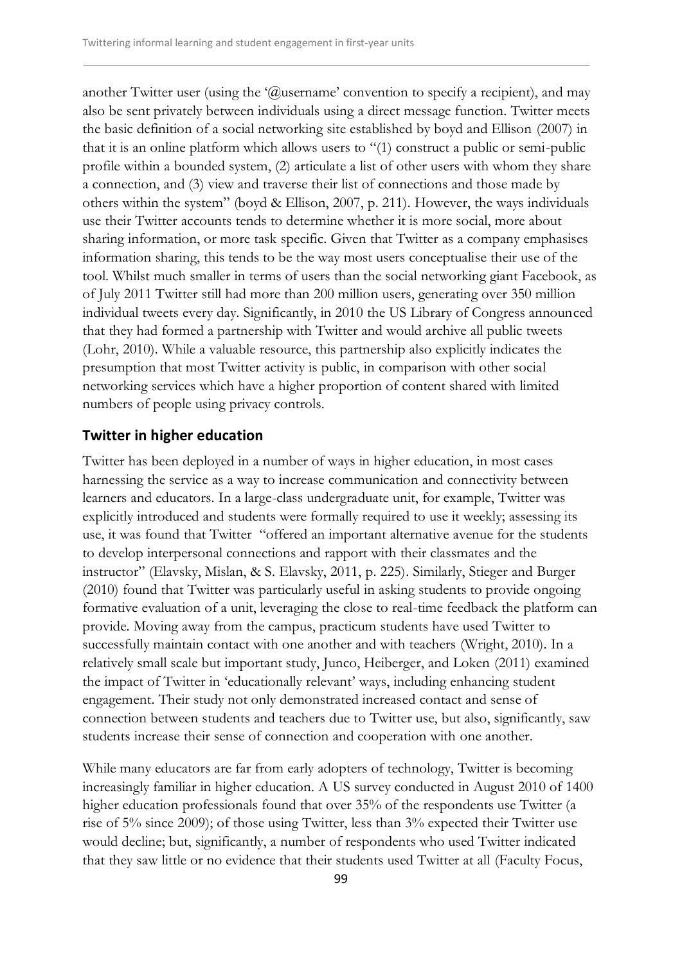another Twitter user (using the '@username' convention to specify a recipient), and may also be sent privately between individuals using a direct message function. Twitter meets the basic definition of a social networking site established by boyd and Ellison (2007) in that it is an online platform which allows users to "(1) construct a public or semi-public profile within a bounded system, (2) articulate a list of other users with whom they share a connection, and (3) view and traverse their list of connections and those made by others within the system" (boyd & Ellison, 2007, p. 211). However, the ways individuals use their Twitter accounts tends to determine whether it is more social, more about sharing information, or more task specific. Given that Twitter as a company emphasises information sharing, this tends to be the way most users conceptualise their use of the tool. Whilst much smaller in terms of users than the social networking giant Facebook, as of July 2011 Twitter still had more than 200 million users, generating over 350 million individual tweets every day. Significantly, in 2010 the US Library of Congress announced that they had formed a partnership with Twitter and would archive all public tweets (Lohr, 2010). While a valuable resource, this partnership also explicitly indicates the presumption that most Twitter activity is public, in comparison with other social networking services which have a higher proportion of content shared with limited numbers of people using privacy controls.

## **Twitter in higher education**

Twitter has been deployed in a number of ways in higher education, in most cases harnessing the service as a way to increase communication and connectivity between learners and educators. In a large-class undergraduate unit, for example, Twitter was explicitly introduced and students were formally required to use it weekly; assessing its use, it was found that Twitter "offered an important alternative avenue for the students to develop interpersonal connections and rapport with their classmates and the instructor" (Elavsky, Mislan, & S. Elavsky, 2011, p. 225). Similarly, Stieger and Burger (2010) found that Twitter was particularly useful in asking students to provide ongoing formative evaluation of a unit, leveraging the close to real-time feedback the platform can provide. Moving away from the campus, practicum students have used Twitter to successfully maintain contact with one another and with teachers (Wright, 2010). In a relatively small scale but important study, Junco, Heiberger, and Loken (2011) examined the impact of Twitter in 'educationally relevant' ways, including enhancing student engagement. Their study not only demonstrated increased contact and sense of connection between students and teachers due to Twitter use, but also, significantly, saw students increase their sense of connection and cooperation with one another.

While many educators are far from early adopters of technology, Twitter is becoming increasingly familiar in higher education. A US survey conducted in August 2010 of 1400 higher education professionals found that over 35% of the respondents use Twitter (a rise of 5% since 2009); of those using Twitter, less than 3% expected their Twitter use would decline; but, significantly, a number of respondents who used Twitter indicated that they saw little or no evidence that their students used Twitter at all (Faculty Focus,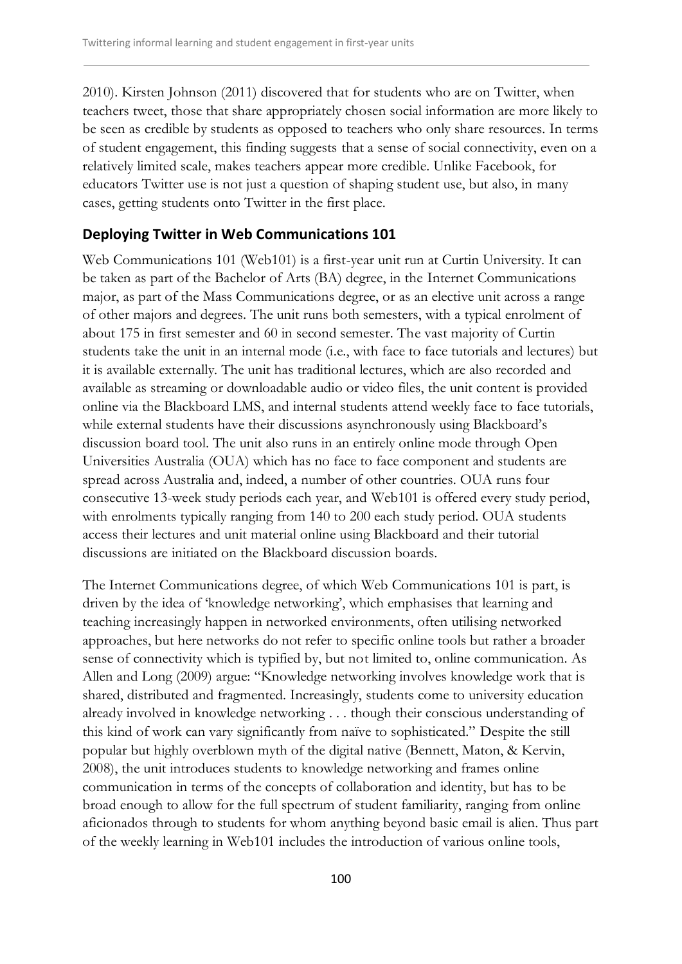2010). Kirsten Johnson (2011) discovered that for students who are on Twitter, when teachers tweet, those that share appropriately chosen social information are more likely to be seen as credible by students as opposed to teachers who only share resources. In terms of student engagement, this finding suggests that a sense of social connectivity, even on a relatively limited scale, makes teachers appear more credible. Unlike Facebook, for educators Twitter use is not just a question of shaping student use, but also, in many cases, getting students onto Twitter in the first place.

## **Deploying Twitter in Web Communications 101**

Web Communications 101 (Web101) is a first-year unit run at Curtin University. It can be taken as part of the Bachelor of Arts (BA) degree, in the Internet Communications major, as part of the Mass Communications degree, or as an elective unit across a range of other majors and degrees. The unit runs both semesters, with a typical enrolment of about 175 in first semester and 60 in second semester. The vast majority of Curtin students take the unit in an internal mode (i.e., with face to face tutorials and lectures) but it is available externally. The unit has traditional lectures, which are also recorded and available as streaming or downloadable audio or video files, the unit content is provided online via the Blackboard LMS, and internal students attend weekly face to face tutorials, while external students have their discussions asynchronously using Blackboard's discussion board tool. The unit also runs in an entirely online mode through Open Universities Australia (OUA) which has no face to face component and students are spread across Australia and, indeed, a number of other countries. OUA runs four consecutive 13-week study periods each year, and Web101 is offered every study period, with enrolments typically ranging from 140 to 200 each study period. OUA students access their lectures and unit material online using Blackboard and their tutorial discussions are initiated on the Blackboard discussion boards.

The Internet Communications degree, of which Web Communications 101 is part, is driven by the idea of 'knowledge networking', which emphasises that learning and teaching increasingly happen in networked environments, often utilising networked approaches, but here networks do not refer to specific online tools but rather a broader sense of connectivity which is typified by, but not limited to, online communication. As Allen and Long (2009) argue: "Knowledge networking involves knowledge work that is shared, distributed and fragmented. Increasingly, students come to university education already involved in knowledge networking . . . though their conscious understanding of this kind of work can vary significantly from naïve to sophisticated." Despite the still popular but highly overblown myth of the digital native (Bennett, Maton, & Kervin, 2008), the unit introduces students to knowledge networking and frames online communication in terms of the concepts of collaboration and identity, but has to be broad enough to allow for the full spectrum of student familiarity, ranging from online aficionados through to students for whom anything beyond basic email is alien. Thus part of the weekly learning in Web101 includes the introduction of various online tools,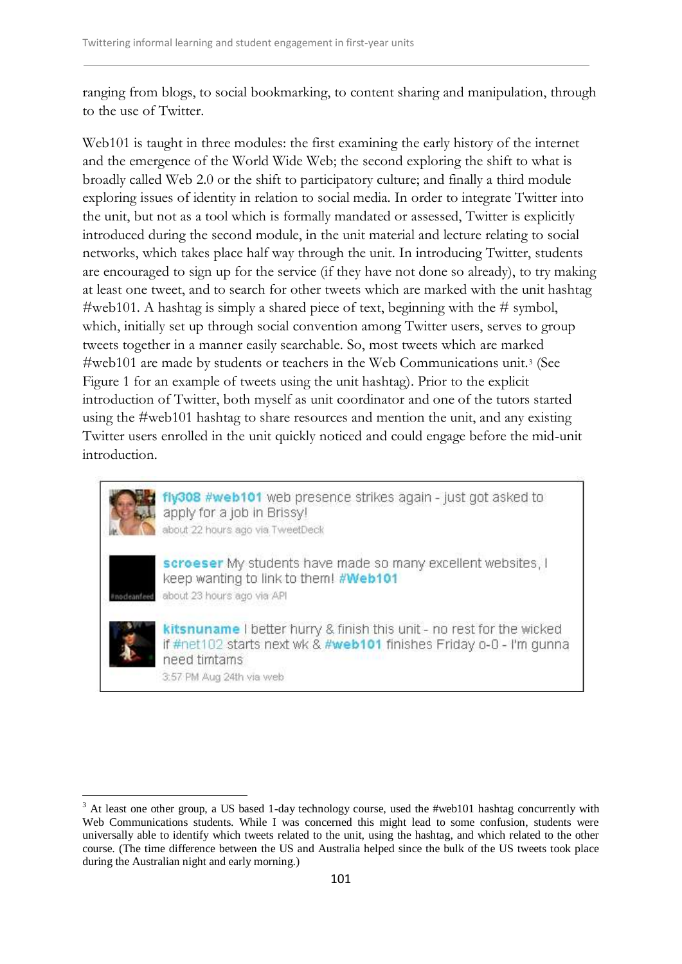ranging from blogs, to social bookmarking, to content sharing and manipulation, through to the use of Twitter.

Web101 is taught in three modules: the first examining the early history of the internet and the emergence of the World Wide Web; the second exploring the shift to what is broadly called Web 2.0 or the shift to participatory culture; and finally a third module exploring issues of identity in relation to social media. In order to integrate Twitter into the unit, but not as a tool which is formally mandated or assessed, Twitter is explicitly introduced during the second module, in the unit material and lecture relating to social networks, which takes place half way through the unit. In introducing Twitter, students are encouraged to sign up for the service (if they have not done so already), to try making at least one tweet, and to search for other tweets which are marked with the unit hashtag #web101. A hashtag is simply a shared piece of text, beginning with the # symbol, which, initially set up through social convention among Twitter users, serves to group tweets together in a manner easily searchable. So, most tweets which are marked #web101 are made by students or teachers in the Web Communications unit.<sup>3</sup> (See Figure 1 for an example of tweets using the unit hashtag). Prior to the explicit introduction of Twitter, both myself as unit coordinator and one of the tutors started using the #web101 hashtag to share resources and mention the unit, and any existing Twitter users enrolled in the unit quickly noticed and could engage before the mid-unit introduction.



fly308 #web101 web presence strikes again - just got asked to apply for a job in Brissy! about 22 hours ago via TweetDeck



scroeser My students have made so many excellent websites, I keep wanting to link to them! #Web101 about 23 hours ago via API



kitsnuname I better hurry & finish this unit - no rest for the wicked if #net102 starts next wk & #web101 finishes Friday o-0 - I'm gunna need timtams

<sup>3:57</sup> PM Aug 24th via web

<sup>-</sup><sup>3</sup> At least one other group, a US based 1-day technology course, used the #web101 hashtag concurrently with Web Communications students. While I was concerned this might lead to some confusion, students were universally able to identify which tweets related to the unit, using the hashtag, and which related to the other course. (The time difference between the US and Australia helped since the bulk of the US tweets took place during the Australian night and early morning.)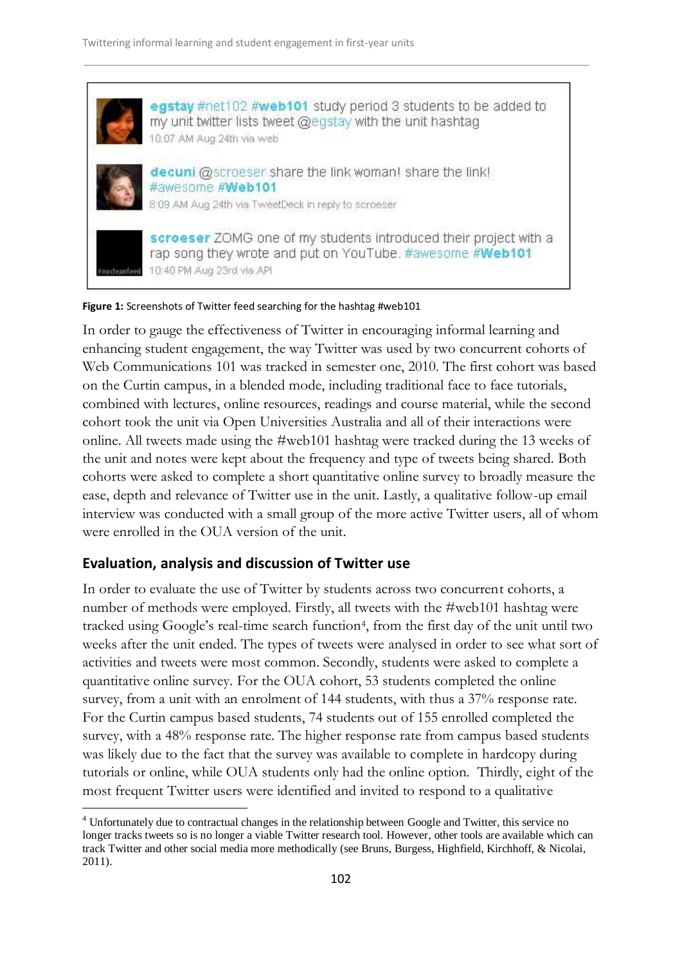

#### **Figure 1:** Screenshots of Twitter feed searching for the hashtag #web101

In order to gauge the effectiveness of Twitter in encouraging informal learning and enhancing student engagement, the way Twitter was used by two concurrent cohorts of Web Communications 101 was tracked in semester one, 2010. The first cohort was based on the Curtin campus, in a blended mode, including traditional face to face tutorials, combined with lectures, online resources, readings and course material, while the second cohort took the unit via Open Universities Australia and all of their interactions were online. All tweets made using the #web101 hashtag were tracked during the 13 weeks of the unit and notes were kept about the frequency and type of tweets being shared. Both cohorts were asked to complete a short quantitative online survey to broadly measure the ease, depth and relevance of Twitter use in the unit. Lastly, a qualitative follow-up email interview was conducted with a small group of the more active Twitter users, all of whom were enrolled in the OUA version of the unit.

## **Evaluation, analysis and discussion of Twitter use**

-

In order to evaluate the use of Twitter by students across two concurrent cohorts, a number of methods were employed. Firstly, all tweets with the #web101 hashtag were tracked using Google's real-time search function<sup>4</sup>, from the first day of the unit until two weeks after the unit ended. The types of tweets were analysed in order to see what sort of activities and tweets were most common. Secondly, students were asked to complete a quantitative online survey. For the OUA cohort, 53 students completed the online survey, from a unit with an enrolment of 144 students, with thus a 37% response rate. For the Curtin campus based students, 74 students out of 155 enrolled completed the survey, with a 48% response rate. The higher response rate from campus based students was likely due to the fact that the survey was available to complete in hardcopy during tutorials or online, while OUA students only had the online option. Thirdly, eight of the most frequent Twitter users were identified and invited to respond to a qualitative

<sup>4</sup> Unfortunately due to contractual changes in the relationship between Google and Twitter, this service no longer tracks tweets so is no longer a viable Twitter research tool. However, other tools are available which can track Twitter and other social media more methodically (see Bruns, Burgess, Highfield, Kirchhoff, & Nicolai, 2011).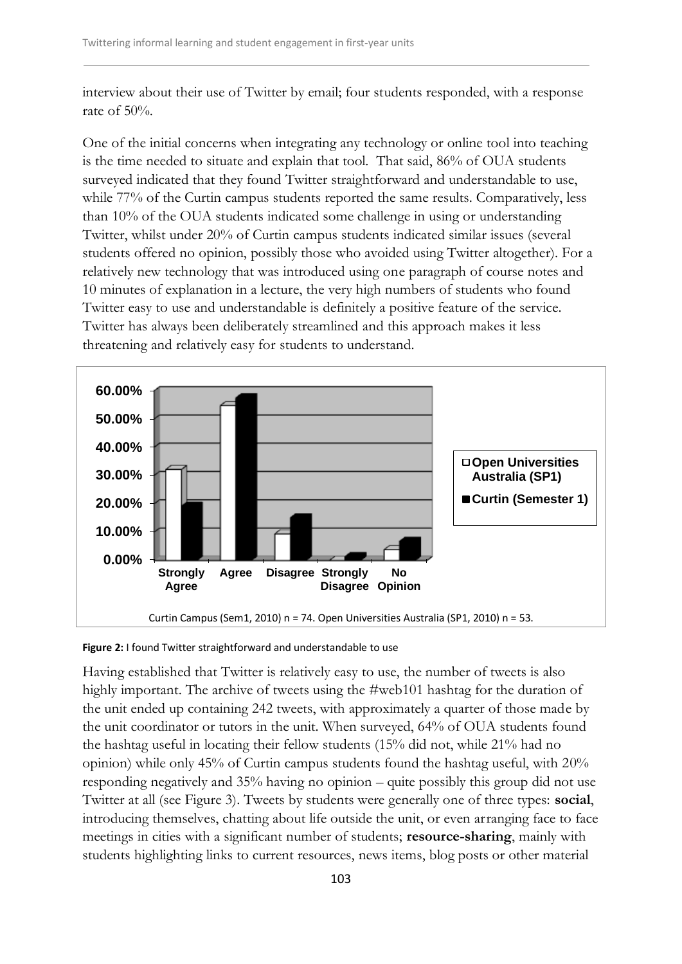interview about their use of Twitter by email; four students responded, with a response rate of 50%.

One of the initial concerns when integrating any technology or online tool into teaching is the time needed to situate and explain that tool. That said, 86% of OUA students surveyed indicated that they found Twitter straightforward and understandable to use, while 77% of the Curtin campus students reported the same results. Comparatively, less than 10% of the OUA students indicated some challenge in using or understanding Twitter, whilst under 20% of Curtin campus students indicated similar issues (several students offered no opinion, possibly those who avoided using Twitter altogether). For a relatively new technology that was introduced using one paragraph of course notes and 10 minutes of explanation in a lecture, the very high numbers of students who found Twitter easy to use and understandable is definitely a positive feature of the service. Twitter has always been deliberately streamlined and this approach makes it less threatening and relatively easy for students to understand.



**Figure 2:** I found Twitter straightforward and understandable to use

Having established that Twitter is relatively easy to use, the number of tweets is also highly important. The archive of tweets using the #web101 hashtag for the duration of the unit ended up containing 242 tweets, with approximately a quarter of those made by the unit coordinator or tutors in the unit. When surveyed, 64% of OUA students found the hashtag useful in locating their fellow students (15% did not, while 21% had no opinion) while only 45% of Curtin campus students found the hashtag useful, with 20% responding negatively and 35% having no opinion – quite possibly this group did not use Twitter at all (see Figure 3). Tweets by students were generally one of three types: **social**, introducing themselves, chatting about life outside the unit, or even arranging face to face meetings in cities with a significant number of students; **resource-sharing**, mainly with students highlighting links to current resources, news items, blog posts or other material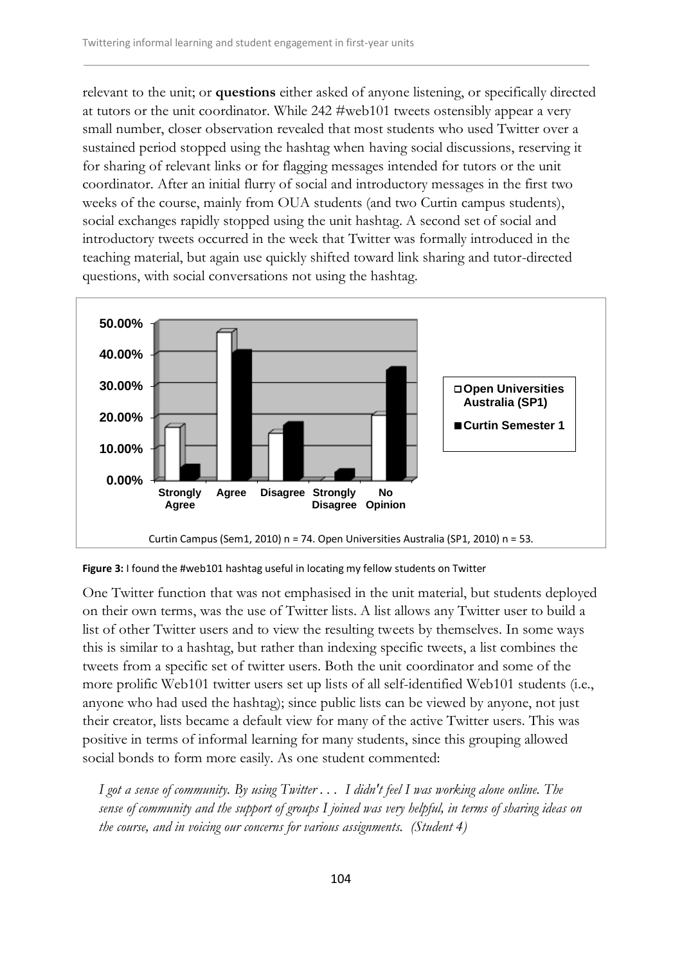relevant to the unit; or **questions** either asked of anyone listening, or specifically directed at tutors or the unit coordinator. While 242 #web101 tweets ostensibly appear a very small number, closer observation revealed that most students who used Twitter over a sustained period stopped using the hashtag when having social discussions, reserving it for sharing of relevant links or for flagging messages intended for tutors or the unit coordinator. After an initial flurry of social and introductory messages in the first two weeks of the course, mainly from OUA students (and two Curtin campus students), social exchanges rapidly stopped using the unit hashtag. A second set of social and introductory tweets occurred in the week that Twitter was formally introduced in the teaching material, but again use quickly shifted toward link sharing and tutor-directed questions, with social conversations not using the hashtag.



**Figure 3:** I found the #web101 hashtag useful in locating my fellow students on Twitter

One Twitter function that was not emphasised in the unit material, but students deployed on their own terms, was the use of Twitter lists. A list allows any Twitter user to build a list of other Twitter users and to view the resulting tweets by themselves. In some ways this is similar to a hashtag, but rather than indexing specific tweets, a list combines the tweets from a specific set of twitter users. Both the unit coordinator and some of the more prolific Web101 twitter users set up lists of all self-identified Web101 students (i.e., anyone who had used the hashtag); since public lists can be viewed by anyone, not just their creator, lists became a default view for many of the active Twitter users. This was positive in terms of informal learning for many students, since this grouping allowed social bonds to form more easily. As one student commented:

*I got a sense of community. By using Twitter . . . I didn't feel I was working alone online. The sense of community and the support of groups I joined was very helpful, in terms of sharing ideas on the course, and in voicing our concerns for various assignments. (Student 4)*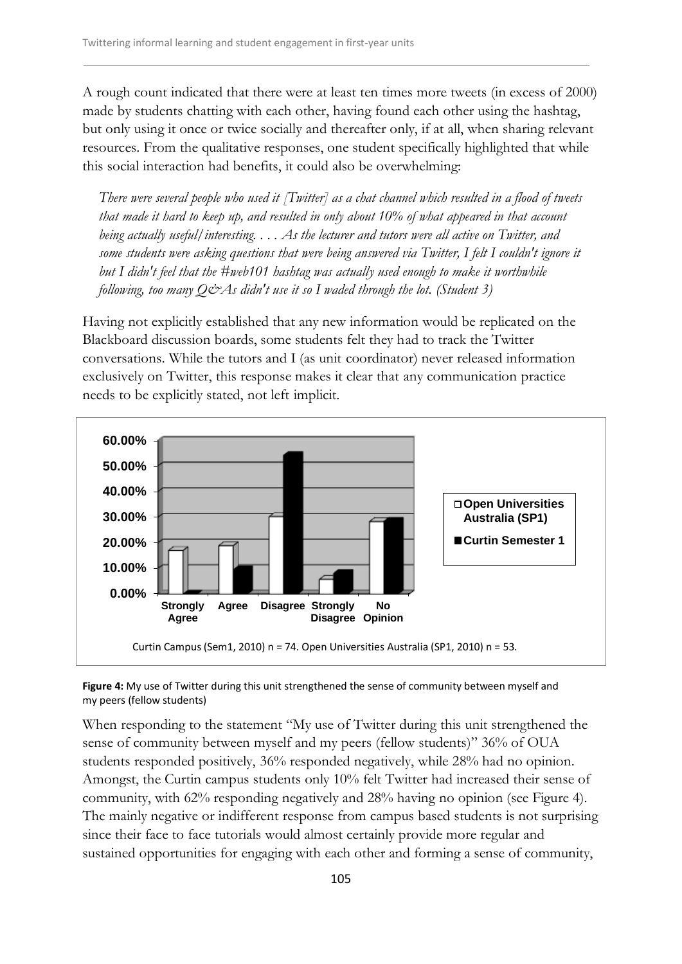A rough count indicated that there were at least ten times more tweets (in excess of 2000) made by students chatting with each other, having found each other using the hashtag, but only using it once or twice socially and thereafter only, if at all, when sharing relevant resources. From the qualitative responses, one student specifically highlighted that while this social interaction had benefits, it could also be overwhelming:

*There were several people who used it [Twitter] as a chat channel which resulted in a flood of tweets that made it hard to keep up, and resulted in only about 10% of what appeared in that account being actually useful/interesting. . . . As the lecturer and tutors were all active on Twitter, and some students were asking questions that were being answered via Twitter, I felt I couldn't ignore it but I didn't feel that the #web101 hashtag was actually used enough to make it worthwhile following, too many Q&As didn't use it so I waded through the lot. (Student 3)*

Having not explicitly established that any new information would be replicated on the Blackboard discussion boards, some students felt they had to track the Twitter conversations. While the tutors and I (as unit coordinator) never released information exclusively on Twitter, this response makes it clear that any communication practice needs to be explicitly stated, not left implicit.



**Figure 4:** My use of Twitter during this unit strengthened the sense of community between myself and my peers (fellow students)

When responding to the statement "My use of Twitter during this unit strengthened the sense of community between myself and my peers (fellow students)" 36% of OUA students responded positively, 36% responded negatively, while 28% had no opinion. Amongst, the Curtin campus students only 10% felt Twitter had increased their sense of community, with 62% responding negatively and 28% having no opinion (see Figure 4). The mainly negative or indifferent response from campus based students is not surprising since their face to face tutorials would almost certainly provide more regular and sustained opportunities for engaging with each other and forming a sense of community,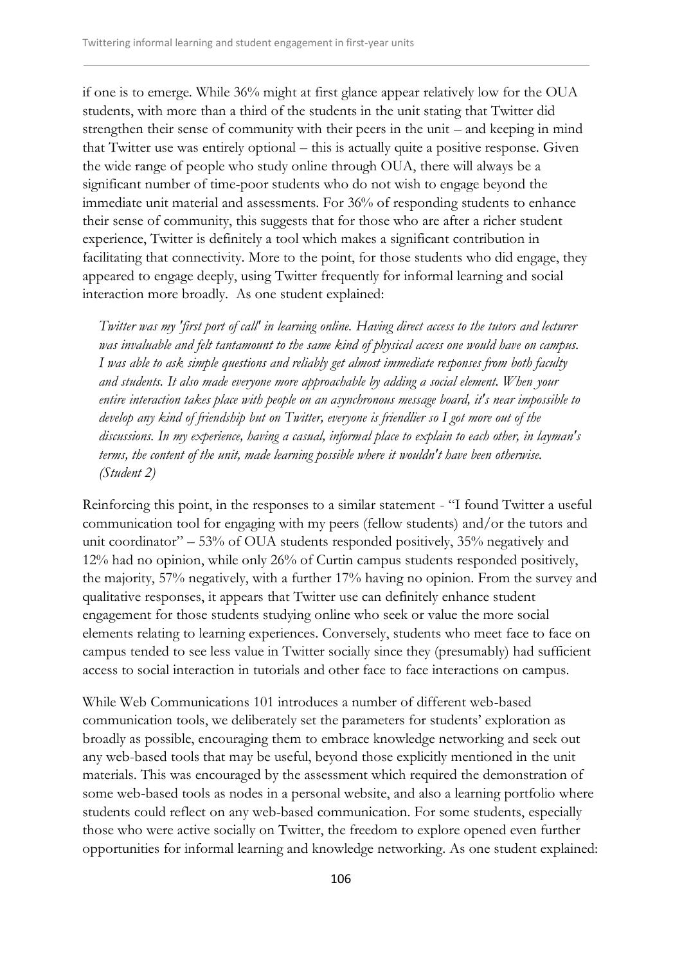if one is to emerge. While 36% might at first glance appear relatively low for the OUA students, with more than a third of the students in the unit stating that Twitter did strengthen their sense of community with their peers in the unit – and keeping in mind that Twitter use was entirely optional – this is actually quite a positive response. Given the wide range of people who study online through OUA, there will always be a significant number of time-poor students who do not wish to engage beyond the immediate unit material and assessments. For 36% of responding students to enhance their sense of community, this suggests that for those who are after a richer student experience, Twitter is definitely a tool which makes a significant contribution in facilitating that connectivity. More to the point, for those students who did engage, they appeared to engage deeply, using Twitter frequently for informal learning and social interaction more broadly. As one student explained:

*Twitter was my 'first port of call' in learning online. Having direct access to the tutors and lecturer was invaluable and felt tantamount to the same kind of physical access one would have on campus. I was able to ask simple questions and reliably get almost immediate responses from both faculty and students. It also made everyone more approachable by adding a social element. When your entire interaction takes place with people on an asynchronous message board, it's near impossible to develop any kind of friendship but on Twitter, everyone is friendlier so I got more out of the discussions. In my experience, having a casual, informal place to explain to each other, in layman's terms, the content of the unit, made learning possible where it wouldn't have been otherwise. (Student 2)*

Reinforcing this point, in the responses to a similar statement - "I found Twitter a useful communication tool for engaging with my peers (fellow students) and/or the tutors and unit coordinator" – 53% of OUA students responded positively, 35% negatively and 12% had no opinion, while only 26% of Curtin campus students responded positively, the majority, 57% negatively, with a further 17% having no opinion. From the survey and qualitative responses, it appears that Twitter use can definitely enhance student engagement for those students studying online who seek or value the more social elements relating to learning experiences. Conversely, students who meet face to face on campus tended to see less value in Twitter socially since they (presumably) had sufficient access to social interaction in tutorials and other face to face interactions on campus.

While Web Communications 101 introduces a number of different web-based communication tools, we deliberately set the parameters for students' exploration as broadly as possible, encouraging them to embrace knowledge networking and seek out any web-based tools that may be useful, beyond those explicitly mentioned in the unit materials. This was encouraged by the assessment which required the demonstration of some web-based tools as nodes in a personal website, and also a learning portfolio where students could reflect on any web-based communication. For some students, especially those who were active socially on Twitter, the freedom to explore opened even further opportunities for informal learning and knowledge networking. As one student explained: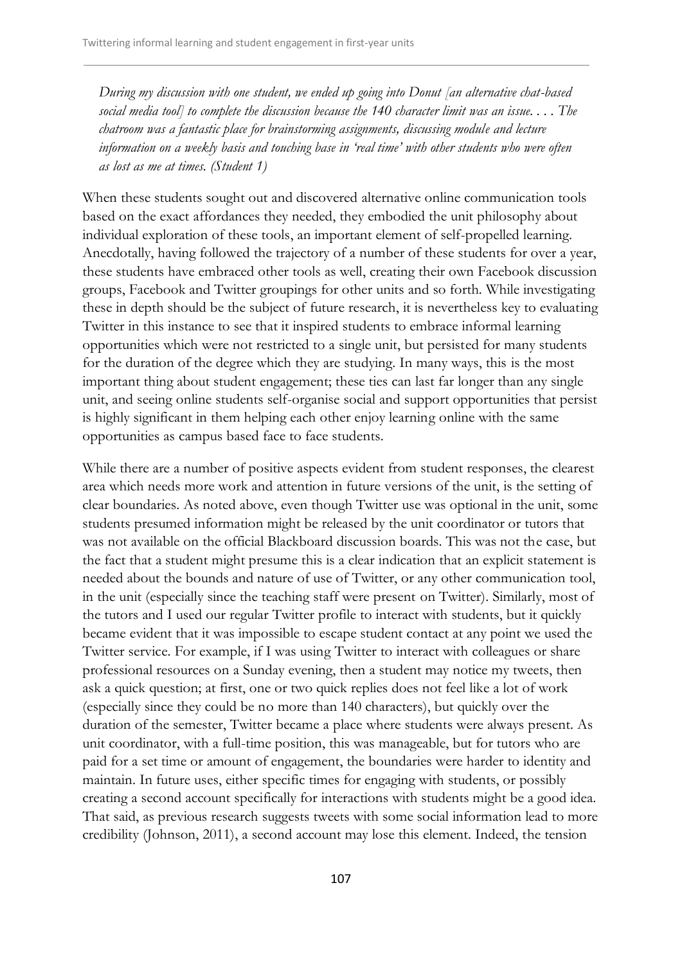*During my discussion with one student, we ended up going into Donut [an alternative chat-based social media tool] to complete the discussion because the 140 character limit was an issue. . . . The chatroom was a fantastic place for brainstorming assignments, discussing module and lecture information on a weekly basis and touching base in 'real time' with other students who were often as lost as me at times. (Student 1)*

When these students sought out and discovered alternative online communication tools based on the exact affordances they needed, they embodied the unit philosophy about individual exploration of these tools, an important element of self-propelled learning. Anecdotally, having followed the trajectory of a number of these students for over a year, these students have embraced other tools as well, creating their own Facebook discussion groups, Facebook and Twitter groupings for other units and so forth. While investigating these in depth should be the subject of future research, it is nevertheless key to evaluating Twitter in this instance to see that it inspired students to embrace informal learning opportunities which were not restricted to a single unit, but persisted for many students for the duration of the degree which they are studying. In many ways, this is the most important thing about student engagement; these ties can last far longer than any single unit, and seeing online students self-organise social and support opportunities that persist is highly significant in them helping each other enjoy learning online with the same opportunities as campus based face to face students.

While there are a number of positive aspects evident from student responses, the clearest area which needs more work and attention in future versions of the unit, is the setting of clear boundaries. As noted above, even though Twitter use was optional in the unit, some students presumed information might be released by the unit coordinator or tutors that was not available on the official Blackboard discussion boards. This was not the case, but the fact that a student might presume this is a clear indication that an explicit statement is needed about the bounds and nature of use of Twitter, or any other communication tool, in the unit (especially since the teaching staff were present on Twitter). Similarly, most of the tutors and I used our regular Twitter profile to interact with students, but it quickly became evident that it was impossible to escape student contact at any point we used the Twitter service. For example, if I was using Twitter to interact with colleagues or share professional resources on a Sunday evening, then a student may notice my tweets, then ask a quick question; at first, one or two quick replies does not feel like a lot of work (especially since they could be no more than 140 characters), but quickly over the duration of the semester, Twitter became a place where students were always present. As unit coordinator, with a full-time position, this was manageable, but for tutors who are paid for a set time or amount of engagement, the boundaries were harder to identity and maintain. In future uses, either specific times for engaging with students, or possibly creating a second account specifically for interactions with students might be a good idea. That said, as previous research suggests tweets with some social information lead to more credibility (Johnson, 2011), a second account may lose this element. Indeed, the tension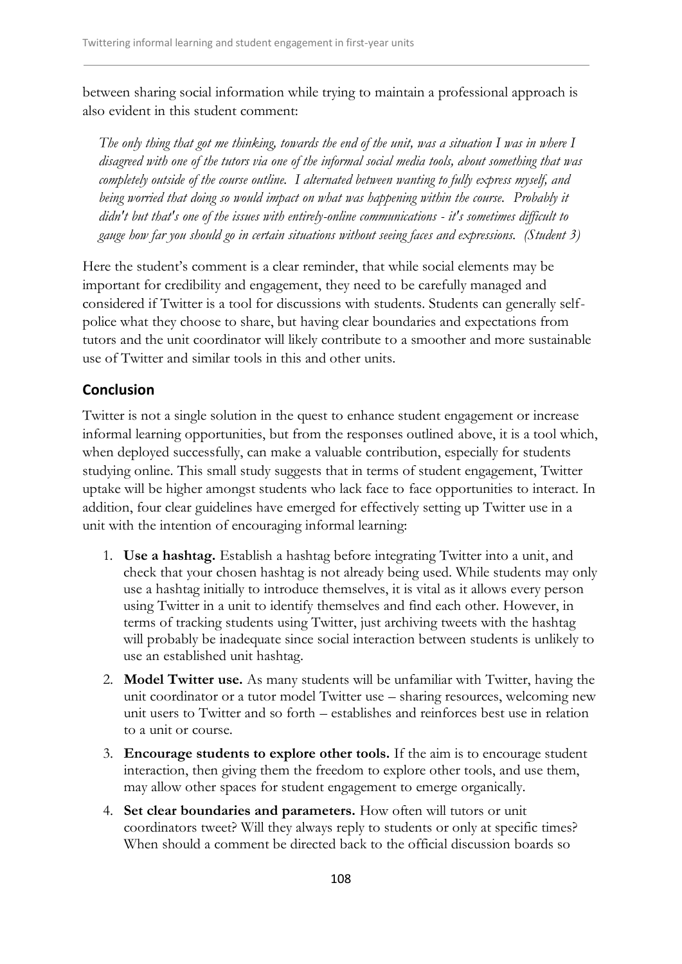between sharing social information while trying to maintain a professional approach is also evident in this student comment:

*The only thing that got me thinking, towards the end of the unit, was a situation I was in where I disagreed with one of the tutors via one of the informal social media tools, about something that was completely outside of the course outline. I alternated between wanting to fully express myself, and being worried that doing so would impact on what was happening within the course. Probably it didn't but that's one of the issues with entirely-online communications - it's sometimes difficult to gauge how far you should go in certain situations without seeing faces and expressions. (Student 3)*

Here the student's comment is a clear reminder, that while social elements may be important for credibility and engagement, they need to be carefully managed and considered if Twitter is a tool for discussions with students. Students can generally selfpolice what they choose to share, but having clear boundaries and expectations from tutors and the unit coordinator will likely contribute to a smoother and more sustainable use of Twitter and similar tools in this and other units.

## **Conclusion**

Twitter is not a single solution in the quest to enhance student engagement or increase informal learning opportunities, but from the responses outlined above, it is a tool which, when deployed successfully, can make a valuable contribution, especially for students studying online. This small study suggests that in terms of student engagement, Twitter uptake will be higher amongst students who lack face to face opportunities to interact. In addition, four clear guidelines have emerged for effectively setting up Twitter use in a unit with the intention of encouraging informal learning:

- 1. **Use a hashtag.** Establish a hashtag before integrating Twitter into a unit, and check that your chosen hashtag is not already being used. While students may only use a hashtag initially to introduce themselves, it is vital as it allows every person using Twitter in a unit to identify themselves and find each other. However, in terms of tracking students using Twitter, just archiving tweets with the hashtag will probably be inadequate since social interaction between students is unlikely to use an established unit hashtag.
- 2. **Model Twitter use.** As many students will be unfamiliar with Twitter, having the unit coordinator or a tutor model Twitter use – sharing resources, welcoming new unit users to Twitter and so forth – establishes and reinforces best use in relation to a unit or course.
- 3. **Encourage students to explore other tools.** If the aim is to encourage student interaction, then giving them the freedom to explore other tools, and use them, may allow other spaces for student engagement to emerge organically.
- 4. **Set clear boundaries and parameters.** How often will tutors or unit coordinators tweet? Will they always reply to students or only at specific times? When should a comment be directed back to the official discussion boards so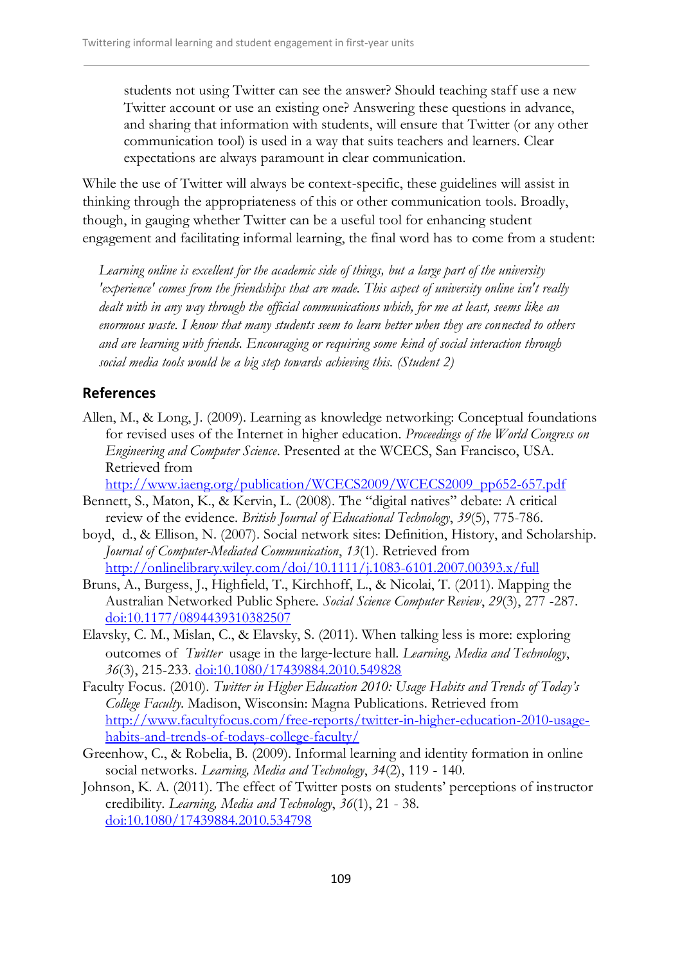students not using Twitter can see the answer? Should teaching staff use a new Twitter account or use an existing one? Answering these questions in advance, and sharing that information with students, will ensure that Twitter (or any other communication tool) is used in a way that suits teachers and learners. Clear expectations are always paramount in clear communication.

While the use of Twitter will always be context-specific, these guidelines will assist in thinking through the appropriateness of this or other communication tools. Broadly, though, in gauging whether Twitter can be a useful tool for enhancing student engagement and facilitating informal learning, the final word has to come from a student:

*Learning online is excellent for the academic side of things, but a large part of the university 'experience' comes from the friendships that are made. This aspect of university online isn't really dealt with in any way through the official communications which, for me at least, seems like an enormous waste. I know that many students seem to learn better when they are connected to others and are learning with friends. Encouraging or requiring some kind of social interaction through social media tools would be a big step towards achieving this. (Student 2)*

## **References**

Allen, M., & Long, J. (2009). Learning as knowledge networking: Conceptual foundations for revised uses of the Internet in higher education. *Proceedings of the World Congress on Engineering and Computer Science*. Presented at the WCECS, San Francisco, USA. Retrieved from

[http://www.iaeng.org/publication/WCECS2009/WCECS2009\\_pp652-657.pdf](http://www.iaeng.org/publication/WCECS2009/WCECS2009_pp652-657.pdf)

- Bennett, S., Maton, K., & Kervin, L. (2008). The "digital natives" debate: A critical review of the evidence. *British Journal of Educational Technology*, *39*(5), 775-786.
- boyd, d., & Ellison, N. (2007). Social network sites: Definition, History, and Scholarship. *Journal of Computer-Mediated Communication*, *13*(1). Retrieved from <http://onlinelibrary.wiley.com/doi/10.1111/j.1083-6101.2007.00393.x/full>
- Bruns, A., Burgess, J., Highfield, T., Kirchhoff, L., & Nicolai, T. (2011). Mapping the Australian Networked Public Sphere. *Social Science Computer Review*, *29*(3), 277 -287. <doi:10.1177/0894439310382507>
- Elavsky, C. M., Mislan, C., & Elavsky, S. (2011). When talking less is more: exploring outcomes of *Twitter* usage in the large‐lecture hall. *Learning, Media and Technology*, *36*(3), 215-233.<doi:10.1080/17439884.2010.549828>
- Faculty Focus. (2010). *Twitter in Higher Education 2010: Usage Habits and Trends of Today's College Faculty*. Madison, Wisconsin: Magna Publications. Retrieved from [http://www.facultyfocus.com/free-reports/twitter-in-higher-education-2010-usage](http://www.facultyfocus.com/free-reports/twitter-in-higher-education-2010-usage-habits-and-trends-of-todays-college-faculty/)[habits-and-trends-of-todays-college-faculty/](http://www.facultyfocus.com/free-reports/twitter-in-higher-education-2010-usage-habits-and-trends-of-todays-college-faculty/)
- Greenhow, C., & Robelia, B. (2009). Informal learning and identity formation in online social networks. *Learning, Media and Technology*, *34*(2), 119 - 140.
- Johnson, K. A. (2011). The effect of Twitter posts on students' perceptions of instructor credibility. *Learning, Media and Technology*, *36*(1), 21 - 38. <doi:10.1080/17439884.2010.534798>